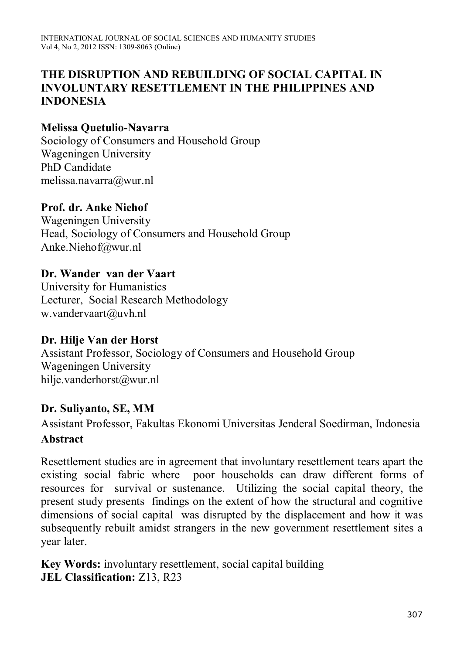#### **THE DISRUPTION AND REBUILDING OF SOCIAL CAPITAL IN INVOLUNTARY RESETTLEMENT IN THE PHILIPPINES AND INDONESIA**

#### **Melissa Quetulio-Navarra**

Sociology of Consumers and Household Group Wageningen University PhD Candidate melissa.navarra@wur.nl

#### **Prof. dr. Anke Niehof**

Wageningen University Head, Sociology of Consumers and Household Group Anke.Niehof@wur.nl

#### **Dr. Wander van der Vaart**

University for Humanistics Lecturer, Social Research Methodology w.vandervaart@uvh.nl

#### **Dr. Hilje Van der Horst**

Assistant Professor, Sociology of Consumers and Household Group Wageningen University hilje.vanderhorst@wur.nl

#### **Dr. Suliyanto, SE, MM**

Assistant Professor, Fakultas Ekonomi Universitas Jenderal Soedirman, Indonesia **Abstract**

Resettlement studies are in agreement that involuntary resettlement tears apart the existing social fabric where poor households can draw different forms of resources for survival or sustenance. Utilizing the social capital theory, the present study presents findings on the extent of how the structural and cognitive dimensions of social capital was disrupted by the displacement and how it was subsequently rebuilt amidst strangers in the new government resettlement sites a year later.

**Key Words:** involuntary resettlement, social capital building **JEL Classification:** Z13, R23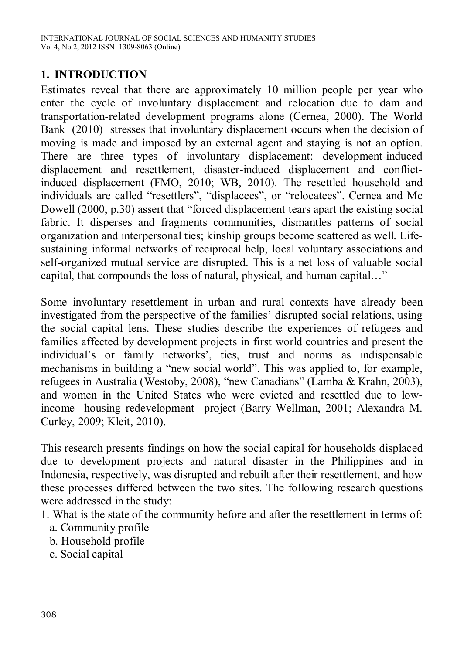#### **1. INTRODUCTION**

Estimates reveal that there are approximately 10 million people per year who enter the cycle of involuntary displacement and relocation due to dam and transportation-related development programs alone (Cernea, 2000). The World Bank (2010) stresses that involuntary displacement occurs when the decision of moving is made and imposed by an external agent and staying is not an option. There are three types of involuntary displacement: development-induced displacement and resettlement, disaster-induced displacement and conflictinduced displacement (FMO, 2010; WB, 2010). The resettled household and individuals are called "resettlers", "displacees", or "relocatees". Cernea and Mc Dowell (2000, p.30) assert that "forced displacement tears apart the existing social fabric. It disperses and fragments communities, dismantles patterns of social organization and interpersonal ties; kinship groups become scattered as well. Lifesustaining informal networks of reciprocal help, local voluntary associations and self-organized mutual service are disrupted. This is a net loss of valuable social capital, that compounds the loss of natural, physical, and human capital…"

Some involuntary resettlement in urban and rural contexts have already been investigated from the perspective of the families' disrupted social relations, using the social capital lens. These studies describe the experiences of refugees and families affected by development projects in first world countries and present the individual's or family networks', ties, trust and norms as indispensable mechanisms in building a "new social world". This was applied to, for example, refugees in Australia (Westoby, 2008), "new Canadians" (Lamba & Krahn, 2003), and women in the United States who were evicted and resettled due to lowincome housing redevelopment project (Barry Wellman, 2001; Alexandra M. Curley, 2009; Kleit, 2010).

This research presents findings on how the social capital for households displaced due to development projects and natural disaster in the Philippines and in Indonesia, respectively, was disrupted and rebuilt after their resettlement, and how these processes differed between the two sites. The following research questions were addressed in the study:

- 1. What is the state of the community before and after the resettlement in terms of:
	- a. Community profile
	- b. Household profile
	- c. Social capital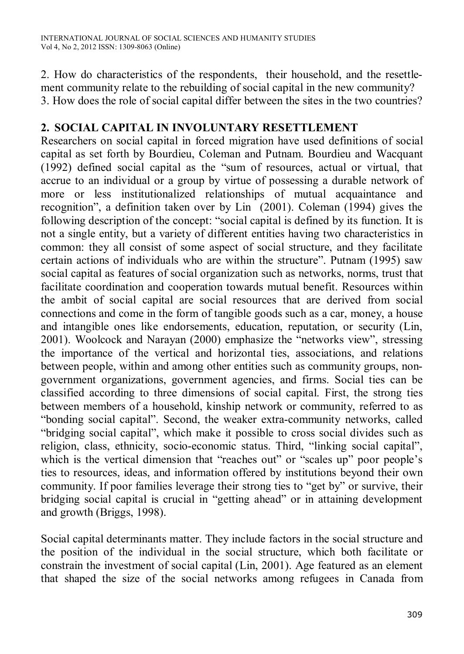2. How do characteristics of the respondents, their household, and the resettlement community relate to the rebuilding of social capital in the new community? 3. How does the role of social capital differ between the sites in the two countries?

#### **2. SOCIAL CAPITAL IN INVOLUNTARY RESETTLEMENT**

Researchers on social capital in forced migration have used definitions of social capital as set forth by Bourdieu, Coleman and Putnam. Bourdieu and Wacquant (1992) defined social capital as the "sum of resources, actual or virtual, that accrue to an individual or a group by virtue of possessing a durable network of more or less institutionalized relationships of mutual acquaintance and recognition", a definition taken over by Lin (2001). Coleman (1994) gives the following description of the concept: "social capital is defined by its function. It is not a single entity, but a variety of different entities having two characteristics in common: they all consist of some aspect of social structure, and they facilitate certain actions of individuals who are within the structure". Putnam (1995) saw social capital as features of social organization such as networks, norms, trust that facilitate coordination and cooperation towards mutual benefit. Resources within the ambit of social capital are social resources that are derived from social connections and come in the form of tangible goods such as a car, money, a house and intangible ones like endorsements, education, reputation, or security (Lin, 2001). Woolcock and Narayan (2000) emphasize the "networks view", stressing the importance of the vertical and horizontal ties, associations, and relations between people, within and among other entities such as community groups, nongovernment organizations, government agencies, and firms. Social ties can be classified according to three dimensions of social capital. First, the strong ties between members of a household, kinship network or community, referred to as "bonding social capital". Second, the weaker extra-community networks, called "bridging social capital", which make it possible to cross social divides such as religion, class, ethnicity, socio-economic status. Third, "linking social capital", which is the vertical dimension that "reaches out" or "scales up" poor people's ties to resources, ideas, and information offered by institutions beyond their own community. If poor families leverage their strong ties to "get by" or survive, their bridging social capital is crucial in "getting ahead" or in attaining development and growth (Briggs, 1998).

Social capital determinants matter. They include factors in the social structure and the position of the individual in the social structure, which both facilitate or constrain the investment of social capital (Lin, 2001). Age featured as an element that shaped the size of the social networks among refugees in Canada from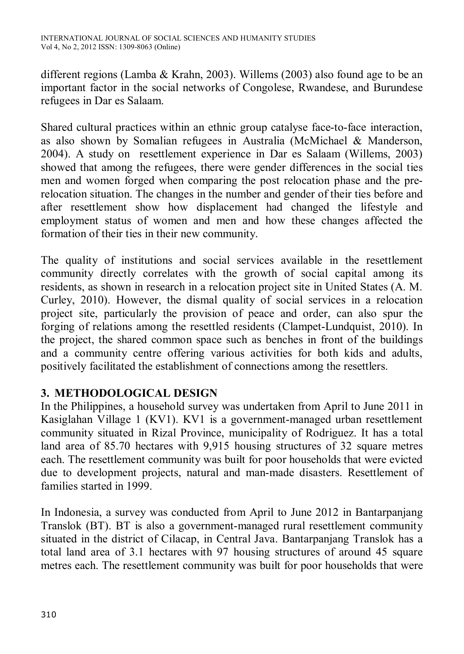different regions (Lamba & Krahn, 2003). Willems (2003) also found age to be an important factor in the social networks of Congolese, Rwandese, and Burundese refugees in Dar es Salaam.

Shared cultural practices within an ethnic group catalyse face-to-face interaction, as also shown by Somalian refugees in Australia (McMichael & Manderson, 2004). A study on resettlement experience in Dar es Salaam (Willems, 2003) showed that among the refugees, there were gender differences in the social ties men and women forged when comparing the post relocation phase and the prerelocation situation. The changes in the number and gender of their ties before and after resettlement show how displacement had changed the lifestyle and employment status of women and men and how these changes affected the formation of their ties in their new community.

The quality of institutions and social services available in the resettlement community directly correlates with the growth of social capital among its residents, as shown in research in a relocation project site in United States (A. M. Curley, 2010). However, the dismal quality of social services in a relocation project site, particularly the provision of peace and order, can also spur the forging of relations among the resettled residents (Clampet-Lundquist, 2010). In the project, the shared common space such as benches in front of the buildings and a community centre offering various activities for both kids and adults, positively facilitated the establishment of connections among the resettlers.

# **3. METHODOLOGICAL DESIGN**

In the Philippines, a household survey was undertaken from April to June 2011 in Kasiglahan Village 1 (KV1). KV1 is a government-managed urban resettlement community situated in Rizal Province, municipality of Rodriguez. It has a total land area of 85.70 hectares with 9,915 housing structures of 32 square metres each. The resettlement community was built for poor households that were evicted due to development projects, natural and man-made disasters. Resettlement of families started in 1999.

In Indonesia, a survey was conducted from April to June 2012 in Bantarpanjang Translok (BT). BT is also a government-managed rural resettlement community situated in the district of Cilacap, in Central Java. Bantarpanjang Translok has a total land area of 3.1 hectares with 97 housing structures of around 45 square metres each. The resettlement community was built for poor households that were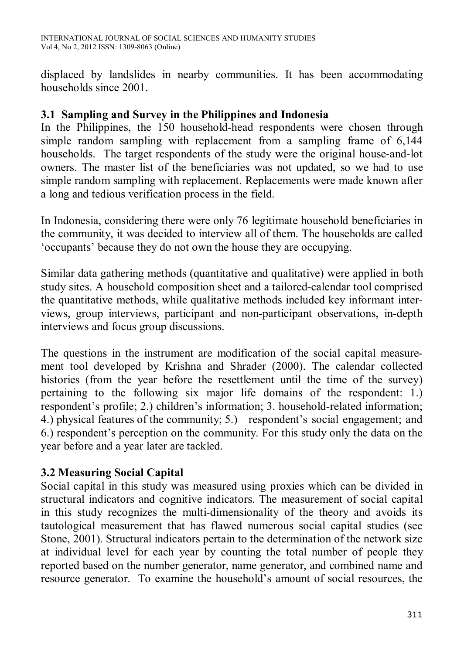displaced by landslides in nearby communities. It has been accommodating households since 2001.

#### **3.1 Sampling and Survey in the Philippines and Indonesia**

In the Philippines, the 150 household-head respondents were chosen through simple random sampling with replacement from a sampling frame of 6,144 households. The target respondents of the study were the original house-and-lot owners. The master list of the beneficiaries was not updated, so we had to use simple random sampling with replacement. Replacements were made known after a long and tedious verification process in the field.

In Indonesia, considering there were only 76 legitimate household beneficiaries in the community, it was decided to interview all of them. The households are called 'occupants' because they do not own the house they are occupying.

Similar data gathering methods (quantitative and qualitative) were applied in both study sites. A household composition sheet and a tailored-calendar tool comprised the quantitative methods, while qualitative methods included key informant interviews, group interviews, participant and non-participant observations, in-depth interviews and focus group discussions.

The questions in the instrument are modification of the social capital measurement tool developed by Krishna and Shrader (2000). The calendar collected histories (from the year before the resettlement until the time of the survey) pertaining to the following six major life domains of the respondent: 1.) respondent's profile; 2.) children's information; 3. household-related information; 4.) physical features of the community; 5.) respondent's social engagement; and 6.) respondent's perception on the community. For this study only the data on the year before and a year later are tackled.

# **3.2 Measuring Social Capital**

Social capital in this study was measured using proxies which can be divided in structural indicators and cognitive indicators. The measurement of social capital in this study recognizes the multi-dimensionality of the theory and avoids its tautological measurement that has flawed numerous social capital studies (see Stone, 2001). Structural indicators pertain to the determination of the network size at individual level for each year by counting the total number of people they reported based on the number generator, name generator, and combined name and resource generator. To examine the household's amount of social resources, the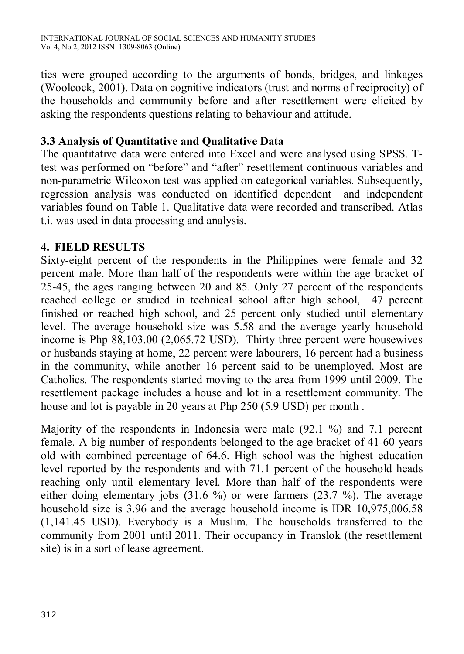ties were grouped according to the arguments of bonds, bridges, and linkages (Woolcock, 2001). Data on cognitive indicators (trust and norms of reciprocity) of the households and community before and after resettlement were elicited by asking the respondents questions relating to behaviour and attitude.

#### **3.3 Analysis of Quantitative and Qualitative Data**

The quantitative data were entered into Excel and were analysed using SPSS. Ttest was performed on "before" and "after" resettlement continuous variables and non-parametric Wilcoxon test was applied on categorical variables. Subsequently, regression analysis was conducted on identified dependent and independent variables found on Table 1. Qualitative data were recorded and transcribed. Atlas t.i. was used in data processing and analysis.

# **4. FIELD RESULTS**

Sixty-eight percent of the respondents in the Philippines were female and 32 percent male. More than half of the respondents were within the age bracket of 25-45, the ages ranging between 20 and 85. Only 27 percent of the respondents reached college or studied in technical school after high school, 47 percent finished or reached high school, and 25 percent only studied until elementary level. The average household size was 5.58 and the average yearly household income is Php 88,103.00 (2,065.72 USD). Thirty three percent were housewives or husbands staying at home, 22 percent were labourers, 16 percent had a business in the community, while another 16 percent said to be unemployed. Most are Catholics. The respondents started moving to the area from 1999 until 2009. The resettlement package includes a house and lot in a resettlement community. The house and lot is payable in 20 years at Php 250 (5.9 USD) per month .

Majority of the respondents in Indonesia were male (92.1 %) and 7.1 percent female. A big number of respondents belonged to the age bracket of 41-60 years old with combined percentage of 64.6. High school was the highest education level reported by the respondents and with 71.1 percent of the household heads reaching only until elementary level. More than half of the respondents were either doing elementary jobs (31.6 %) or were farmers (23.7 %). The average household size is 3.96 and the average household income is IDR 10,975,006.58 (1,141.45 USD). Everybody is a Muslim. The households transferred to the community from 2001 until 2011. Their occupancy in Translok (the resettlement site) is in a sort of lease agreement.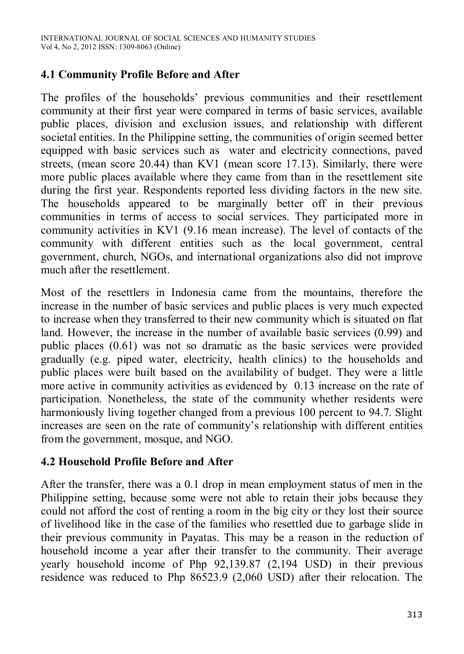# **4.1 Community Profile Before and After**

The profiles of the households' previous communities and their resettlement community at their first year were compared in terms of basic services, available public places, division and exclusion issues, and relationship with different societal entities. In the Philippine setting, the communities of origin seemed better equipped with basic services such as water and electricity connections, paved streets, (mean score 20.44) than KV1 (mean score 17.13). Similarly, there were more public places available where they came from than in the resettlement site during the first year. Respondents reported less dividing factors in the new site. The households appeared to be marginally better off in their previous communities in terms of access to social services. They participated more in community activities in KV1 (9.16 mean increase). The level of contacts of the community with different entities such as the local government, central government, church, NGOs, and international organizations also did not improve much after the resettlement.

Most of the resettlers in Indonesia came from the mountains, therefore the increase in the number of basic services and public places is very much expected to increase when they transferred to their new community which is situated on flat land. However, the increase in the number of available basic services (0.99) and public places (0.61) was not so dramatic as the basic services were provided gradually (e.g. piped water, electricity, health clinics) to the households and public places were built based on the availability of budget. They were a little more active in community activities as evidenced by 0.13 increase on the rate of participation. Nonetheless, the state of the community whether residents were harmoniously living together changed from a previous 100 percent to 94.7. Slight increases are seen on the rate of community's relationship with different entities from the government, mosque, and NGO.

#### **4.2 Household Profile Before and After**

After the transfer, there was a 0.1 drop in mean employment status of men in the Philippine setting, because some were not able to retain their jobs because they could not afford the cost of renting a room in the big city or they lost their source of livelihood like in the case of the families who resettled due to garbage slide in their previous community in Payatas. This may be a reason in the reduction of household income a year after their transfer to the community. Their average yearly household income of Php 92,139.87 (2,194 USD) in their previous residence was reduced to Php 86523.9 (2,060 USD) after their relocation. The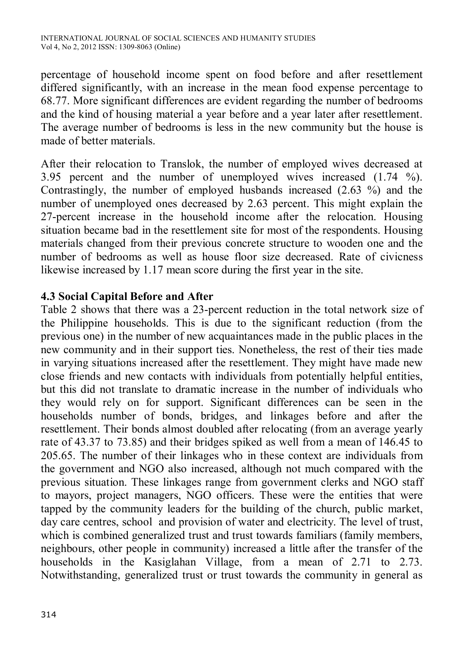percentage of household income spent on food before and after resettlement differed significantly, with an increase in the mean food expense percentage to 68.77. More significant differences are evident regarding the number of bedrooms and the kind of housing material a year before and a year later after resettlement. The average number of bedrooms is less in the new community but the house is made of better materials.

After their relocation to Translok, the number of employed wives decreased at 3.95 percent and the number of unemployed wives increased (1.74 %). Contrastingly, the number of employed husbands increased (2.63 %) and the number of unemployed ones decreased by 2.63 percent. This might explain the 27-percent increase in the household income after the relocation. Housing situation became bad in the resettlement site for most of the respondents. Housing materials changed from their previous concrete structure to wooden one and the number of bedrooms as well as house floor size decreased. Rate of civicness likewise increased by 1.17 mean score during the first year in the site.

#### **4.3 Social Capital Before and After**

Table 2 shows that there was a 23-percent reduction in the total network size of the Philippine households. This is due to the significant reduction (from the previous one) in the number of new acquaintances made in the public places in the new community and in their support ties. Nonetheless, the rest of their ties made in varying situations increased after the resettlement. They might have made new close friends and new contacts with individuals from potentially helpful entities, but this did not translate to dramatic increase in the number of individuals who they would rely on for support. Significant differences can be seen in the households number of bonds, bridges, and linkages before and after the resettlement. Their bonds almost doubled after relocating (from an average yearly rate of 43.37 to 73.85) and their bridges spiked as well from a mean of 146.45 to 205.65. The number of their linkages who in these context are individuals from the government and NGO also increased, although not much compared with the previous situation. These linkages range from government clerks and NGO staff to mayors, project managers, NGO officers. These were the entities that were tapped by the community leaders for the building of the church, public market, day care centres, school and provision of water and electricity. The level of trust, which is combined generalized trust and trust towards familiars (family members, neighbours, other people in community) increased a little after the transfer of the households in the Kasiglahan Village, from a mean of 2.71 to 2.73. Notwithstanding, generalized trust or trust towards the community in general as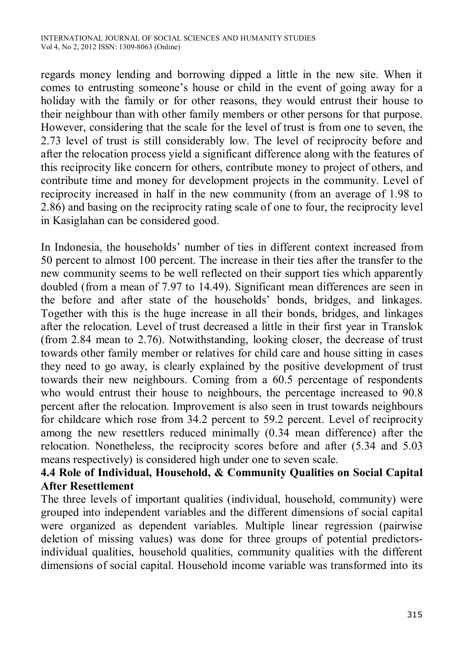regards money lending and borrowing dipped a little in the new site. When it comes to entrusting someone's house or child in the event of going away for a holiday with the family or for other reasons, they would entrust their house to their neighbour than with other family members or other persons for that purpose. However, considering that the scale for the level of trust is from one to seven, the 2.73 level of trust is still considerably low. The level of reciprocity before and after the relocation process yield a significant difference along with the features of this reciprocity like concern for others, contribute money to project of others, and contribute time and money for development projects in the community. Level of reciprocity increased in half in the new community (from an average of 1.98 to 2.86) and basing on the reciprocity rating scale of one to four, the reciprocity level in Kasiglahan can be considered good.

In Indonesia, the households' number of ties in different context increased from 50 percent to almost 100 percent. The increase in their ties after the transfer to the new community seems to be well reflected on their support ties which apparently doubled (from a mean of 7.97 to 14.49). Significant mean differences are seen in the before and after state of the households' bonds, bridges, and linkages. Together with this is the huge increase in all their bonds, bridges, and linkages after the relocation. Level of trust decreased a little in their first year in Translok (from 2.84 mean to 2.76). Notwithstanding, looking closer, the decrease of trust towards other family member or relatives for child care and house sitting in cases they need to go away, is clearly explained by the positive development of trust towards their new neighbours. Coming from a 60.5 percentage of respondents who would entrust their house to neighbours, the percentage increased to 90.8 percent after the relocation. Improvement is also seen in trust towards neighbours for childcare which rose from 34.2 percent to 59.2 percent. Level of reciprocity among the new resettlers reduced minimally (0.34 mean difference) after the relocation. Nonetheless, the reciprocity scores before and after (5.34 and 5.03 means respectively) is considered high under one to seven scale.

# **4.4 Role of Individual, Household, & Community Qualities on Social Capital After Resettlement**

The three levels of important qualities (individual, household, community) were grouped into independent variables and the different dimensions of social capital were organized as dependent variables. Multiple linear regression (pairwise deletion of missing values) was done for three groups of potential predictorsindividual qualities, household qualities, community qualities with the different dimensions of social capital. Household income variable was transformed into its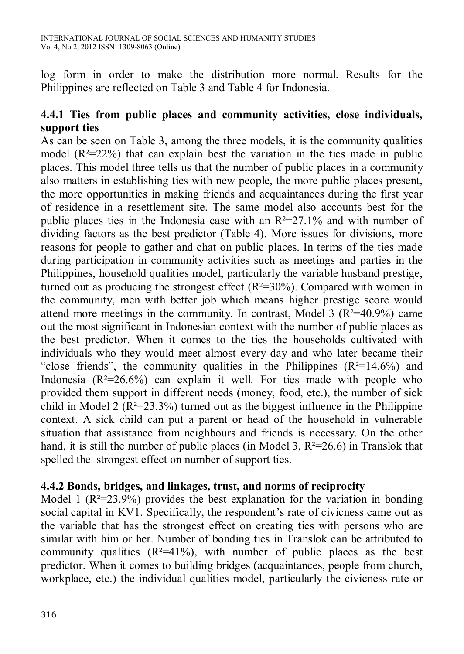log form in order to make the distribution more normal. Results for the Philippines are reflected on Table 3 and Table 4 for Indonesia.

#### **4.4.1 Ties from public places and community activities, close individuals, support ties**

As can be seen on Table 3, among the three models, it is the community qualities model  $(R^2=22\%)$  that can explain best the variation in the ties made in public places. This model three tells us that the number of public places in a community also matters in establishing ties with new people, the more public places present, the more opportunities in making friends and acquaintances during the first year of residence in a resettlement site. The same model also accounts best for the public places ties in the Indonesia case with an  $R^2=27.1\%$  and with number of dividing factors as the best predictor (Table 4). More issues for divisions, more reasons for people to gather and chat on public places. In terms of the ties made during participation in community activities such as meetings and parties in the Philippines, household qualities model, particularly the variable husband prestige, turned out as producing the strongest effect  $(R^2=30\%)$ . Compared with women in the community, men with better job which means higher prestige score would attend more meetings in the community. In contrast, Model 3  $(R^2=40.9\%)$  came out the most significant in Indonesian context with the number of public places as the best predictor. When it comes to the ties the households cultivated with individuals who they would meet almost every day and who later became their "close friends", the community qualities in the Philippines  $(R^2=14.6\%)$  and Indonesia  $(R^2=26.6\%)$  can explain it well. For ties made with people who provided them support in different needs (money, food, etc.), the number of sick child in Model 2 ( $R^2 = 23.3\%$ ) turned out as the biggest influence in the Philippine context. A sick child can put a parent or head of the household in vulnerable situation that assistance from neighbours and friends is necessary. On the other hand, it is still the number of public places (in Model 3,  $R^2 = 26.6$ ) in Translok that spelled the strongest effect on number of support ties.

#### **4.4.2 Bonds, bridges, and linkages, trust, and norms of reciprocity**

Model 1 ( $R^2 = 23.9\%$ ) provides the best explanation for the variation in bonding social capital in KV1. Specifically, the respondent's rate of civicness came out as the variable that has the strongest effect on creating ties with persons who are similar with him or her. Number of bonding ties in Translok can be attributed to community qualities  $(R^2=41\%)$ , with number of public places as the best predictor. When it comes to building bridges (acquaintances, people from church, workplace, etc.) the individual qualities model, particularly the civicness rate or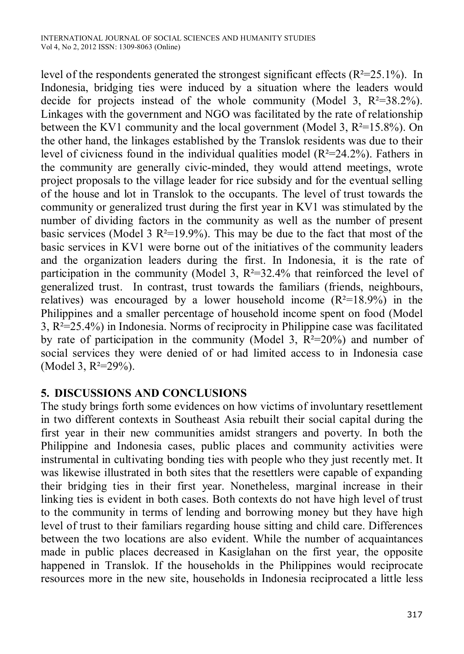level of the respondents generated the strongest significant effects  $(R^2=25.1\%)$ . In Indonesia, bridging ties were induced by a situation where the leaders would decide for projects instead of the whole community (Model 3,  $R^2=38.2\%$ ). Linkages with the government and NGO was facilitated by the rate of relationship between the KV1 community and the local government (Model 3,  $R^2 = 15.8\%$ ). On the other hand, the linkages established by the Translok residents was due to their level of civicness found in the individual qualities model  $(R^2=24.2\%)$ . Fathers in the community are generally civic-minded, they would attend meetings, wrote project proposals to the village leader for rice subsidy and for the eventual selling of the house and lot in Translok to the occupants. The level of trust towards the community or generalized trust during the first year in KV1 was stimulated by the number of dividing factors in the community as well as the number of present basic services (Model 3  $R^2=19.9\%$ ). This may be due to the fact that most of the basic services in KV1 were borne out of the initiatives of the community leaders and the organization leaders during the first. In Indonesia, it is the rate of participation in the community (Model 3,  $R^2=32.4\%$  that reinforced the level of generalized trust. In contrast, trust towards the familiars (friends, neighbours, relatives) was encouraged by a lower household income  $(R^2=18.9\%)$  in the Philippines and a smaller percentage of household income spent on food (Model 3, R²=25.4%) in Indonesia. Norms of reciprocity in Philippine case was facilitated by rate of participation in the community (Model 3,  $R^2=20\%$ ) and number of social services they were denied of or had limited access to in Indonesia case (Model 3, R<sup>2=29%)</sup>.

# **5. DISCUSSIONS AND CONCLUSIONS**

The study brings forth some evidences on how victims of involuntary resettlement in two different contexts in Southeast Asia rebuilt their social capital during the first year in their new communities amidst strangers and poverty. In both the Philippine and Indonesia cases, public places and community activities were instrumental in cultivating bonding ties with people who they just recently met. It was likewise illustrated in both sites that the resettlers were capable of expanding their bridging ties in their first year. Nonetheless, marginal increase in their linking ties is evident in both cases. Both contexts do not have high level of trust to the community in terms of lending and borrowing money but they have high level of trust to their familiars regarding house sitting and child care. Differences between the two locations are also evident. While the number of acquaintances made in public places decreased in Kasiglahan on the first year, the opposite happened in Translok. If the households in the Philippines would reciprocate resources more in the new site, households in Indonesia reciprocated a little less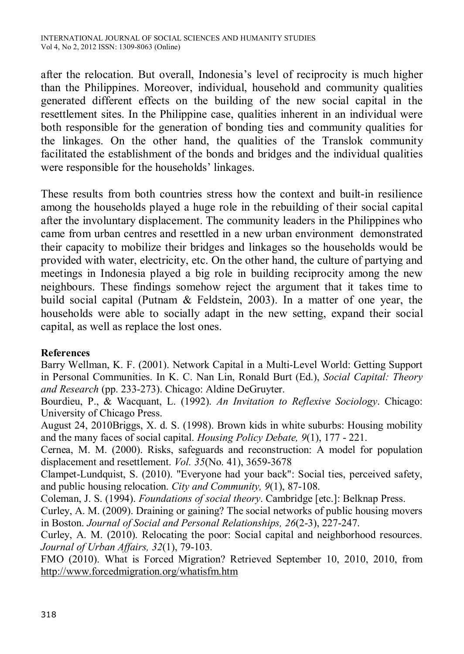after the relocation. But overall, Indonesia's level of reciprocity is much higher than the Philippines. Moreover, individual, household and community qualities generated different effects on the building of the new social capital in the resettlement sites. In the Philippine case, qualities inherent in an individual were both responsible for the generation of bonding ties and community qualities for the linkages. On the other hand, the qualities of the Translok community facilitated the establishment of the bonds and bridges and the individual qualities were responsible for the households' linkages.

These results from both countries stress how the context and built-in resilience among the households played a huge role in the rebuilding of their social capital after the involuntary displacement. The community leaders in the Philippines who came from urban centres and resettled in a new urban environment demonstrated their capacity to mobilize their bridges and linkages so the households would be provided with water, electricity, etc. On the other hand, the culture of partying and meetings in Indonesia played a big role in building reciprocity among the new neighbours. These findings somehow reject the argument that it takes time to build social capital (Putnam & Feldstein, 2003). In a matter of one year, the households were able to socially adapt in the new setting, expand their social capital, as well as replace the lost ones.

#### **References**

Barry Wellman, K. F. (2001). Network Capital in a Multi-Level World: Getting Support in Personal Communities. In K. C. Nan Lin, Ronald Burt (Ed.), *Social Capital: Theory and Research* (pp. 233-273). Chicago: Aldine DeGruyter.

Bourdieu, P., & Wacquant, L. (1992). *An Invitation to Reflexive Sociology*. Chicago: University of Chicago Press.

August 24, 2010Briggs, X. d. S. (1998). Brown kids in white suburbs: Housing mobility and the many faces of social capital. *Housing Policy Debate, 9*(1), 177 - 221.

Cernea, M. M. (2000). Risks, safeguards and reconstruction: A model for population displacement and resettlement. *Vol. 35*(No. 41), 3659-3678

Clampet-Lundquist, S. (2010). "Everyone had your back": Social ties, perceived safety, and public housing relocation. *City and Community, 9*(1), 87-108.

Coleman, J. S. (1994). *Foundations of social theory*. Cambridge [etc.]: Belknap Press.

Curley, A. M. (2009). Draining or gaining? The social networks of public housing movers in Boston. *Journal of Social and Personal Relationships, 26*(2-3), 227-247.

Curley, A. M. (2010). Relocating the poor: Social capital and neighborhood resources. *Journal of Urban Affairs, 32*(1), 79-103.

FMO (2010). What is Forced Migration? Retrieved September 10, 2010, 2010, from http://www.forcedmigration.org/whatisfm.htm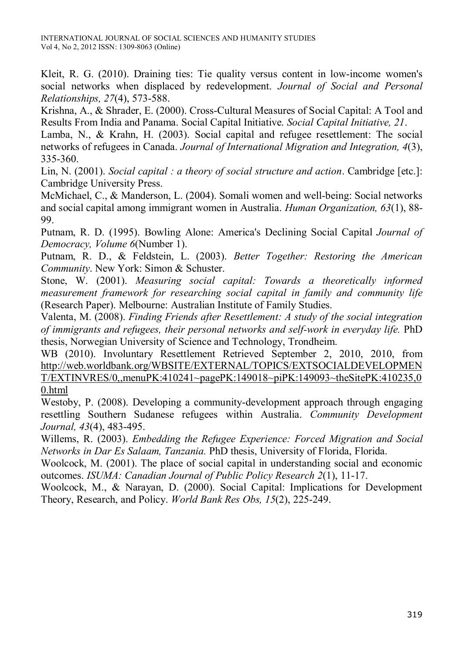Kleit, R. G. (2010). Draining ties: Tie quality versus content in low-income women's social networks when displaced by redevelopment. *Journal of Social and Personal Relationships, 27*(4), 573-588.

Krishna, A., & Shrader, E. (2000). Cross-Cultural Measures of Social Capital: A Tool and Results From India and Panama. Social Capital Initiative. *Social Capital Initiative, 21*.

Lamba, N., & Krahn, H. (2003). Social capital and refugee resettlement: The social networks of refugees in Canada. *Journal of International Migration and Integration, 4*(3), 335-360.

Lin, N. (2001). *Social capital : a theory of social structure and action*. Cambridge [etc.]: Cambridge University Press.

McMichael, C., & Manderson, L. (2004). Somali women and well-being: Social networks and social capital among immigrant women in Australia. *Human Organization, 63*(1), 88- 99.

Putnam, R. D. (1995). Bowling Alone: America's Declining Social Capital *Journal of Democracy, Volume 6*(Number 1).

Putnam, R. D., & Feldstein, L. (2003). *Better Together: Restoring the American Community*. New York: Simon & Schuster.

Stone, W. (2001). *Measuring social capital: Towards a theoretically informed measurement framework for researching social capital in family and community life* (Research Paper). Melbourne: Australian Institute of Family Studies.

Valenta, M. (2008). *Finding Friends after Resettlement: A study of the social integration of immigrants and refugees, their personal networks and self-work in everyday life.* PhD thesis, Norwegian University of Science and Technology, Trondheim.

WB (2010). Involuntary Resettlement Retrieved September 2, 2010, 2010, from http://web.worldbank.org/WBSITE/EXTERNAL/TOPICS/EXTSOCIALDEVELOPMEN T/EXTINVRES/0,,menuPK:410241~pagePK:149018~piPK:149093~theSitePK:410235,0 0.html

Westoby, P. (2008). Developing a community-development approach through engaging resettling Southern Sudanese refugees within Australia. *Community Development Journal, 43*(4), 483-495.

Willems, R. (2003). *Embedding the Refugee Experience: Forced Migration and Social Networks in Dar Es Salaam, Tanzania.* PhD thesis, University of Florida, Florida.

Woolcock, M. (2001). The place of social capital in understanding social and economic outcomes. *ISUMA: Canadian Journal of Public Policy Research 2*(1), 11-17.

Woolcock, M., & Narayan, D. (2000). Social Capital: Implications for Development Theory, Research, and Policy. *World Bank Res Obs, 15*(2), 225-249.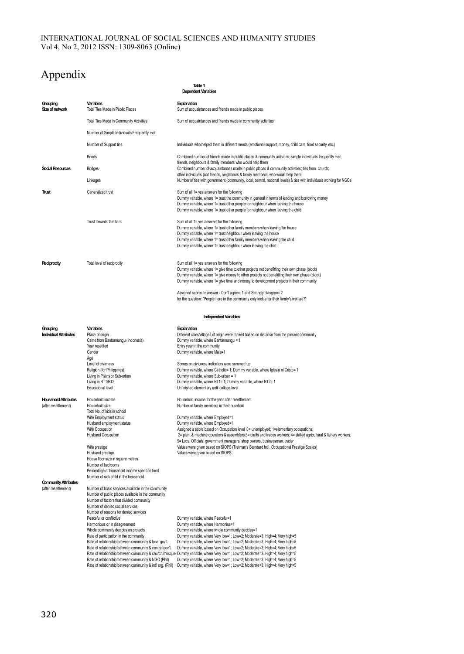#### INTERNATIONAL JOURNAL OF SOCIAL SCIENCES AND HUMANITY STUDIES Vol 4, No 2, 2012 ISSN: 1309-8063 (Online)

# Appendix

**Grouping Variables Explanation Sum of acquaintances and friends made in public places** Total Ties Made in Community Activities Sum of acquaintances and friends made in community activities Number of Simple Individuals Frequently met Number of Support ties **Individuals** who helped them in different needs (emotional support, money, child care, food security, etc.) Bonds Combined number of friends made in public places & community activities; simple individuals frequently met; friends, neighbours & family members who would help them<br>Combined number of acquaintances made in public places & community activities; ties from church; other individuals (not friends, neighbours & family members) who would help them Linkages **Number of ties with government (community, local**, central, national levels) & ties with individuals working for NGOs **Trust** Generalized trust Generalized trust Sum of all 1= yes answers for the following Dummy variable, where 1= trust the community in general in terms of lending and borrowing money Dummy variable, where 1= trust other people for neighbour when leaving the house Dummy variable, where 1= trust other people for neighbour when leaving the child Trust towards familiars Sum of all 1= yes answers for the following Dummy variable, where 1= trust other family members when leaving the house Dummy variable, where 1= trust neighbour when leaving the house Dummy variable, where 1= trust other family members when leaving the child Dummy variable, where 1= trust neighbour when leaving the child **Reciprocity** Total level of reciprocity Sum of all 1= yes answers for the following Dummy variable, where 1= give time to other projects not benefitting their own phase (block) Dummy variable, where 1= give money to other projects not benefitting their own phase (block) Dummy variable, where 1= give time and money to development projects in their community Assigned scores to answer - Don't agree= 1 and Strongly diasgree= 2 for the question: "People here in the community only look after their family's welfare?" **Grouping Variables Explanation Individual Attributes Place of original Attributes**<br>Place of origin<br>Came from Bantarmanqu (Indonesia) Dummy wariable, where Bantarmanqu = 1 Came from Bantarmangu (Indonesia) Dummy variable, where Bantarmangu = 1<br>
Year resettled Chambridge Chambridge Entry vear in the community Entry year in the community Gender **General Community** variable, where Male=1 Age<br>Level of civicness Level of civicness<br>
Level of civicness<br>
Religion (for Philippines)<br>
Rummy variable where Catholics 1: Dummy variable where Catholics 1: Dummy variable Religion (for Philippines) Dummy variable, where Catholic= 1; Dummy variable, where Iglesia ni Cristo= 1<br>
Dummy variable, where Sub-urban Dummy variable, where Sub-urban = 1 Living in Plains or Sub-urban **Dummy variable, where Sub-urban = 1**<br>
Living in RT1/RT2 **Dummy variable, where RT1=1**; Dumm Living in RT1/RT2 Dummy variable, where RT1= 1; Dummy variable, where RT2= 1<br>
Educational level Contract Unit Unit alementary until college level Unfinished elementary until college level **Household Attributes** Household income<br> **Household Attributes** Household size<br> **Alternative income household** Household income Household Number of family members in the household Total No. of kids in school Wife Employment status **Dummy variable, where Employed=1**<br>Hushand employment status **Dummy variable, where Employed=1** Husband employment status Dummy variable, where Employed=1 Wife Occupation<br>Husband Occupation **Assigned a score based on Occupation level 0= unemployed; 1=elementary occupations;**<br>2= plant & machine operators & assemblers;3= rafis and trades workers;4= skilled anni 2= plant & machine operators & assemblers;3= crafts and trades workers; 4= skilled agricultural & fishery workers; 9= Local Officials, government managers, shop owners, businessman, trader wife prestige values were given based on SIOPS (Treiman's Standard Int'l. Occupational Prestige Scales)<br>Hushand prestige Scales) Values were given based on SIOPS (Treiman's Standard Int'l. Occupational Prestige Scales) Values were given based on SIOPS House floor size in square metres Number of bedrooms Percentage of household income spent on food Number of sick child in the household **Community Attributes**<br>(after resettlement) Number of basic services available in the community Number of public places available in the community Number of factors that divided community Number of denied social services Number of reasons for denied services Peaceful or conflictive <br>
Peaceful or conflictive Dummy variable, where Harmonius:<br>
Dummy variable, where Harmonius: **Dependent Variables Table 1 Independent Variables**

Harmonious or in disagreement<br>
Whole community decides on projects<br>
Dummy variable, where whole commu Whole community decides on projects Dummy variable, where whole community decides=1<br>Rate of participation in the community Dummy variable, where Very low=1; Low=2; Moderal Rate of participation in the community Dummy variable, where Very low=1; Low=2; Moderate=3; High=4; Very high=5<br>Rate of relationship between community & local gov't. Dummy variable, where Very low=1: Low=2: Moderate=3: Hig Dummy variable, where Very low=1; Low=2; Moderate=3; High=4; Very high=5 Rate of relationship between community & central gov't. Dummy variable, where Very low=1; Low=2; Moderate=3; High=4; Very high=5 Rate of relationship between community & church/mosque Dummy variable, where Very low=1; Low=2; Moderate=3; High=4; Very high=5 Rate of relationship between community & NGO (Phil) Dummy variable, where Very low=1; Low=2; Moderate=3; High=4; Very high=5<br>Rate of relationship between community & int'l org. (Phil) Dummy variable, where Very low=1; Low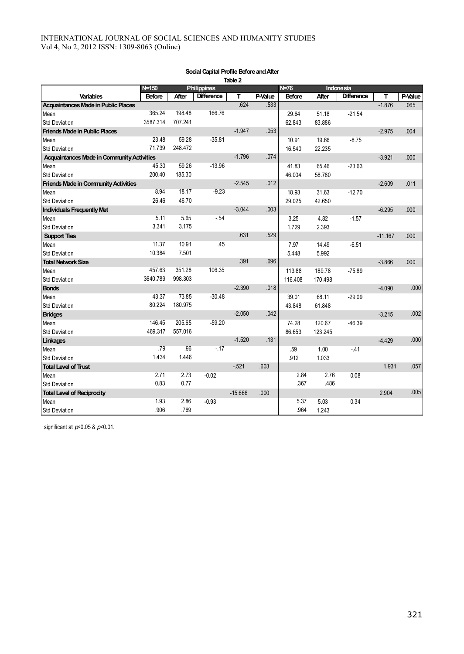|                                                   |               |         |                    | iault 4   |         |         |         |                   |           |         |
|---------------------------------------------------|---------------|---------|--------------------|-----------|---------|---------|---------|-------------------|-----------|---------|
|                                                   | N=150         |         | <b>Philippines</b> |           |         | N=76    |         | <b>Indonesia</b>  |           |         |
| <b>Variables</b>                                  | <b>Before</b> | After   | <b>Difference</b>  | т         | P-Value | Before  | After   | <b>Difference</b> | т         | P-Value |
| Acquaintances Made in Public Places               |               |         |                    | .624      | .533    |         |         |                   | $-1.876$  | .065    |
| Mean                                              | 365.24        | 198.48  | 166.76             |           |         | 29.64   | 51.18   | $-21.54$          |           |         |
| <b>Std Deviation</b>                              | 3587.314      | 707.241 |                    |           |         | 62.843  | 83.886  |                   |           |         |
| <b>Friends Made in Public Places</b>              |               |         |                    | $-1.947$  | .053    |         |         |                   | $-2.975$  | .004    |
| Mean                                              | 23.48         | 59.28   | $-35.81$           |           |         | 10.91   | 19.66   | $-8.75$           |           |         |
| <b>Std Deviation</b>                              | 71.739        | 248.472 |                    |           |         | 16.540  | 22.235  |                   |           |         |
| <b>Acquaintances Made in Community Activities</b> |               |         |                    | $-1.796$  | .074    |         |         |                   | $-3.921$  | .000    |
| Mean                                              | 45.30         | 59.26   | $-13.96$           |           |         | 41.83   | 65.46   | $-23.63$          |           |         |
| <b>Std Deviation</b>                              | 200.40        | 185.30  |                    |           |         | 46.004  | 58.780  |                   |           |         |
| <b>Friends Made in Community Activities</b>       |               |         |                    | $-2.545$  | .012    |         |         |                   | $-2.609$  | .011    |
| Mean                                              | 8.94          | 18.17   | $-9.23$            |           |         | 18.93   | 31.63   | $-12.70$          |           |         |
| Std Deviation                                     | 26.46         | 46.70   |                    |           |         | 29.025  | 42.650  |                   |           |         |
| Individuals Frequently Met                        |               |         |                    | $-3.044$  | .003    |         |         |                   | $-6.295$  | .000    |
| Mean                                              | 5.11          | 5.65    | $-.54$             |           |         | 3.25    | 4.82    | $-1.57$           |           |         |
| <b>Std Deviation</b>                              | 3.341         | 3.175   |                    |           |         | 1.729   | 2.393   |                   |           |         |
| <b>Support Ties</b>                               |               |         |                    | .631      | .529    |         |         |                   | $-11.167$ | .000    |
| Mean                                              | 11.37         | 10.91   | .45                |           |         | 7.97    | 14.49   | $-6.51$           |           |         |
| <b>Std Deviation</b>                              | 10.384        | 7.501   |                    |           |         | 5.448   | 5.992   |                   |           |         |
| <b>Total Network Size</b>                         |               |         |                    | .391      | .696    |         |         |                   | $-3.866$  | .000    |
| Mean                                              | 457.63        | 351.28  | 106.35             |           |         | 113.88  | 189.78  | $-75.89$          |           |         |
| <b>Std Deviation</b>                              | 3640.789      | 998.303 |                    |           |         | 116.408 | 170.498 |                   |           |         |
| <b>Bonds</b>                                      |               |         |                    | $-2.390$  | .018    |         |         |                   | $-4.090$  | .000    |
| Mean                                              | 43.37         | 73.85   | $-30.48$           |           |         | 39.01   | 68.11   | $-29.09$          |           |         |
| <b>Std Deviation</b>                              | 80.224        | 180.975 |                    |           |         | 43.848  | 61.848  |                   |           |         |
| <b>Bridges</b>                                    |               |         |                    | $-2.050$  | .042    |         |         |                   | $-3.215$  | .002    |
| Mean                                              | 146.45        | 205.65  | $-59.20$           |           |         | 74.28   | 120.67  | $-46.39$          |           |         |
| <b>Std Deviation</b>                              | 469.317       | 557.016 |                    |           |         | 86.653  | 123.245 |                   |           |         |
| Linkages                                          |               |         |                    | $-1.520$  | .131    |         |         |                   | $-4.429$  | .000    |
| Mean                                              | .79           | .96     | $-17$              |           |         | .59     | 1.00    | $-41$             |           |         |
| <b>Std Deviation</b>                              | 1.434         | 1.446   |                    |           |         | .912    | 1.033   |                   |           |         |
| <b>Total Level of Trust</b>                       |               |         |                    | $-521$    | .603    |         |         |                   | 1.931     | .057    |
| Mean                                              | 2.71          | 2.73    | $-0.02$            |           |         | 2.84    | 2.76    | 0.08              |           |         |
| <b>Std Deviation</b>                              | 0.83          | 0.77    |                    |           |         | .367    | .486    |                   |           |         |
| <b>Total Level of Reciprocity</b>                 |               |         |                    | $-15.666$ | .000    |         |         |                   | 2.904     | .005    |
| Mean                                              | 1.93          | 2.86    | $-0.93$            |           |         | 5.37    | 5.03    | 0.34              |           |         |
| <b>Std Deviation</b>                              | .906          | .769    |                    |           |         | .964    | 1.243   |                   |           |         |

#### **Social Capital Profile Before and After Table 2**

significant at *p*<0.05 & *p*<0.01.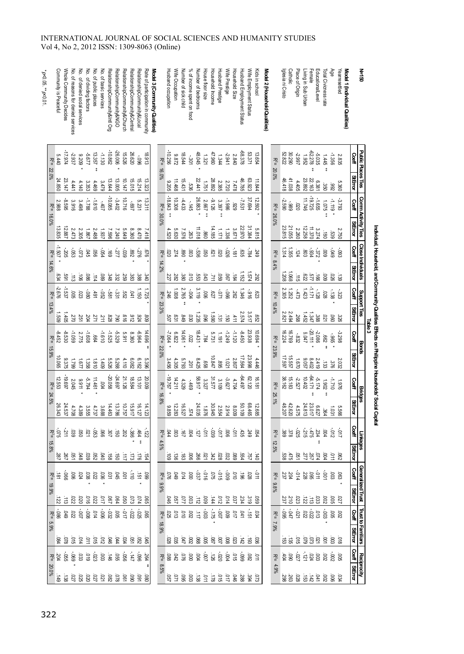#### Husband Prestige<br>Household Income Whole Community Decides<br>Community is Peaceful No. of reasons for denied services No. of denied social services No. of dividing factors No. of public places No. of basic services RelationshipCommunity&Intl Org RelationshipCommunity&Central<br>RelationshipCommunity&Church Wife Occupation % of income spent on food House floor size Wife Prestige Kids in school Iglesia ni Cristo Catholic Living in Sub Urban Female EducationalLevel Total Civioness rate \**p*<0.05. \*\*Community is Peaceful Whole Community Decides RelationshipCommunity&NGO RelationshipCommunity&Lo*c*al<br>RelationshipCommunity&Lo*c*al Rate of participation in community Model 3 (Community Qualities) Husband occupation Wife Occupation Number of sick child % of income spent on food Number of bedrooms Wife Prestige Household Size Husband Employment Status Wife Employment Status Wife Employment Status Model 2 (Household Qualities) Place of Origin Total Civicness rate No. of reasons for denied services No. of denied social services No. of dividing factors No. of public places No. of basic services RelationshipCommunity&Intl Org RelationshipCommunity&NGO RelationshipCommunity&Church RelationshipCommunity&Central RelationshipCommunity&Local Rate of participation in community **Model 3 (Community Qualities)** Husband occupation Number of sick child Number of bedrooms House floor size Household Income Husband Prestige Household Size Husband Employment Status Kids in school **Model 2 (Household Qualities)** Iglesia ni Cristo Place of Origin Living in Sub Urban EducationalLevel *p*<0.01. -17.974 -10.862 -26.006 -10.256 -68.378 -62.278 26.620 48.045 47.960 53.371 52.822 30.290 -2.937 ا<br>2017 13.357 -1.130 15.526 18.913 18.544 -2.941 13.654 -2.997 ረት<br>አይ 5.440 9.209 9.872 2.840 -.096 .<br>201 1.321 1.344 1.952 观 观 观 22.0% \*\* 16.0% 20.0% \*\* 24.850 23.147 13.644 13.005 10.147 15.015 15.214 13.323 15.431 22.441 28.892 46.785 63.923 46.418 41.038 23.892 22.163 11.468 11.844 4.441 4.140 د.<br>335 4.469 3.479 9.205 2.385 2.720 7.478 4.405 6.381 1.751 .<br>ვვ -10.085 -18.843 -19.725 26.883 37.694 -8.595 -1.788 -1.810 -3.402 10.716 13.311 10.308 -4.433 -9.126 -1.986 -7.531 12.592 -2.590 11.746  $\frac{1}{5}$ 2.988 ي<br>916 3.498 5.231 2.667 232<br>م -.407 -.697  $\frac{1}{6}$ -.989 .929 .020 ᇙ ᆽ ᇙ 16.0% 30.0% \*\* \*\* \*\* \* 26.0% 13.835 12.887 14.185 22.970 31.384 23.815 21.055 12.258 11.018 11.370 2.473 2.305 1.867 2.488 1.937 7.596 7.240 5.649 8.360 8.470 7.418 4.520 ن<br>30 7.576 1.171 1.336 3.671 5.<br>5.81 2.260 3.274  $\frac{263}{263}$ .<br>80 -1.507 -.205 .<br>ვ -.073 -.054 -<br>277 -.039 -<br>226 ن<br>926 -.026 -.181 -.784 1.314 1.355 -.934 .<br>كذلا .<br>ማ .<br>ვე .<br>৪ .<br>88 .676 .020 .274 .<br>080 .003 .<br>ვ .<br>م .020 .<br>ლ .249 .124 .803 观 观 观 14.6% \* \* \* 14.2% \* 8.4% 1.152 1.574 1.208 1.068 .634 .<br>291  $\frac{1}{90}$ .086 .<br>680 .348 ين<br>23 .<br>59 ين<br>383 ين<br>88 .<br>240 .227 .<br>282 ين<br>80  $\frac{1}{\Omega}$ .<br>553<br>653 .043 .<br>59 .<br>90 .184 .292 .622 .<br>727  $\frac{1}{66}$  $\vec{a}$ .114 <u>.</u><br>א  $\frac{1}{5}$ -2.676 -1.537 -1.171 1.150 1.725 1.008 2.765  $\frac{2}{10}$ 1.346 2.305 1.252 1.423 .<br>80 .<br>39  $\frac{5}{81}$ .<br>ين -<br>ጀ -.071 .<br>80 -<br>516 -.473 -.128 .005 .023 .491 .<br>52 .041 .246 ິ<br>ລິ .<br>227 .262 .623 观 观 观  $\blacksquare$  $\blacksquare$  $\blacksquare$ 13.4% \* 23.3% \*\* 10.4% 2.574 3.517 2.821 2.494 1.509 1.405 1.235 1.590 1.452 1.347 .270 .251 .204 27 .<br>211 .828 .790 .<br>م .<br>ما .924 .809 .<br>307 .<br>م .<br>649 .030 .096 .<br>این  $\frac{1}{2}$ .411 .<br>م .<br>88 ين<br>88 23.938 -20.111 -8.452 -8.530  $-1.059$ -1.608  $-1.610$  $-1.525$ -5.329 -6.964 14.696 -7.064 14.061 18.431 -1.249 -1.120 -8.450 10.694 16.224 16.769 -2.086 2.775 5.911 8.360 6.822 5.731 6.047 1.191 .<br>832 .<br>የ .<br>22 .784 ᇙ ᆽ ᇙ \*\* \* \* \*

| $5.440$<br>R <sup>2</sup> =  |                  |                                                                                                                                                                                                                                                                                                                              |                                          |      |                   |                      |                |                                                         |         | 18.913 |       |                               |                                |                                                                                                                                              |                                                                                                                                                                                                                                                                                                                  |        |                                                                           |         |         |                            |                  |       | $R^2 =$         |        | -62,278<br>11.952<br>1952<br>52.822                                                                                                                                                                                                                                                                                             |  | $-1.356$                |                    | 2.835    | <b>Coeff</b>   | Public Places Ties |
|------------------------------|------------------|------------------------------------------------------------------------------------------------------------------------------------------------------------------------------------------------------------------------------------------------------------------------------------------------------------------------------|------------------------------------------|------|-------------------|----------------------|----------------|---------------------------------------------------------|---------|--------|-------|-------------------------------|--------------------------------|----------------------------------------------------------------------------------------------------------------------------------------------|------------------------------------------------------------------------------------------------------------------------------------------------------------------------------------------------------------------------------------------------------------------------------------------------------------------|--------|---------------------------------------------------------------------------|---------|---------|----------------------------|------------------|-------|-----------------|--------|---------------------------------------------------------------------------------------------------------------------------------------------------------------------------------------------------------------------------------------------------------------------------------------------------------------------------------|--|-------------------------|--------------------|----------|----------------|--------------------|
|                              |                  |                                                                                                                                                                                                                                                                                                                              |                                          |      |                   |                      |                |                                                         |         |        |       |                               | 11.468                         |                                                                                                                                              | $\begin{array}{cccc} 11.844 \\ 63.92 \\ 82.9 \\ 15.9 \\ 16.9 \\ 17.1 \\ 18.9 \\ 19.9 \\ 10.4 \\ 10.4 \\ 17.4 \\ 18.4 \\ 19.4 \\ 19.4 \\ 10.4 \\ 10.4 \\ 10.4 \\ 10.4 \\ 10.4 \\ 10.4 \\ 10.4 \\ 10.4 \\ 10.4 \\ 10.4 \\ 10.4 \\ 10.4 \\ 10.4 \\ 10.4 \\ 10.4 \\ 10.4 \\ 10.4 \\ 10.4 \\ 10.4 \\ 10.4 \\ 10.4 \\$ |        |                                                                           |         |         |                            |                  |       | 20.0%           |        | $\begin{array}{r} 0.073 \\ 0.073 \\ 0.074 \\ -4.098 \\ -4.099 \\ -4.099 \\ -4.099 \\ -4.099 \\ -4.099 \\ -4.099 \\ -4.099 \\ -4.099 \\ -4.099 \\ -4.099 \\ -4.099 \\ -4.099 \\ -4.099 \\ -4.099 \\ -4.099 \\ -4.099 \\ -4.099 \\ -4.099 \\ -4.099 \\ -4.099 \\ -4.099 \\ -4.099 \\ -4.099 \\ -4.099 \\ -4.099 \\ -4.099 \\ -4.$ |  |                         |                    | 5.360    | <b>StEmor</b>  |                    |
|                              |                  | $-3402$<br>$-4008$<br>$-4008$<br>$-4008$<br>$-4008$<br>$-4008$<br>$-4008$<br>$-4008$<br>$-4008$                                                                                                                                                                                                                              |                                          |      |                   |                      | 91210          | $.69 -$                                                 | 5.23    | 13.31  |       | $18.843$<br>R <sup>2</sup> =  | 10.308                         | $-4.433$                                                                                                                                     | $\frac{1}{46}$                                                                                                                                                                                                                                                                                                   | 26.883 | $-1.3995$<br>$-3.397$<br>$2.867$                                          |         | -7.531  |                            | 37.694           |       | $R^2 =$         | $-980$ |                                                                                                                                                                                                                                                                                                                                 |  | <b>SZO</b> <sup>1</sup> | $-1.119$           | $-3.79$  | Coeff          | Comm Activity Ties |
|                              |                  | $\begin{array}{cccc} 7.8 & 8.6 & 6.7 & 7.4 & 7.4 & 8.7 & 8.6 \\ 4.7 & 8.6 & 4.8 & 4.8 & 4.8 & 5.8 & 4.8 \\ 7.7 & 4.7 & 4.8 & 4.8 & 5.8 & 7.8 \\ 8.7 & 4.8 & 4.8 & 5.8 & 7.8 & 7.8 \\ 9.7 & 4.8 & 4.8 & 5.8 & 7.8 & 7.8 \\ 12.7 & 4.8 & 4.8 & 5.8 & 7.8 & 7.8 \\ 13.8 & 4.8 & 4.8 & 5.8 & $                                   |                                          |      |                   |                      |                |                                                         |         |        |       |                               | 5.630                          |                                                                                                                                              | $\begin{array}{cccc} 5.8133\\ 2.31394\\ 2.31397\\ 2.361\\ 2.61396\\ 2.576\\ 2.61396\\ 2.576\\ 2.576\\ 2.576\\ 2.576\\ 2.576\\ 2.576\\ 2.576\\ 2.576\\ 2.576\\ 2.576\\ 2.576\\ 2.576\\ 2.576\\ 2.576\\ 2.576\\ 2.576\\ 2.576\\ 2.576\\ 2.576\\ 2.576\\ 2.576\\ 2.576\\ $                                          |        |                                                                           |         |         |                            |                  |       | 26.0%           |        | $\begin{array}{r} .5000 \\ 0.5000 \\ 0.5000 \\ 0.5000 \\ 0.5000 \\ 0.5381 \\ 0.5381 \\ 0.5381 \\ 0.5381 \\ 0.5381 \\ 0.5381 \\ 0.5381 \\ 0.5381 \\ 0.5381 \\ 0.5381 \\ 0.5381 \\ 0.5381 \\ 0.5381 \\ 0.5381 \\ 0.5381 \\ 0.5381 \\ 0.5381 \\ 0.5381 \\ 0.5381 \\ 0.5381 \\ 0.5381 \\ 0.5381$                                    |  |                         |                    | 2.750    | <b>StEindr</b> |                    |
| $1.507$<br>R <sup>2</sup> =  |                  | $\frac{27}{20}$<br>$\frac{27}{20}$<br>$\frac{27}{20}$<br>$\frac{27}{20}$<br>$\frac{27}{20}$<br>$\frac{27}{20}$                                                                                                                                                                                                               |                                          |      |                   |                      | -039           | $768^\circ$                                             |         |        |       |                               |                                | $\begin{array}{c} 89.74 \\ 89.74 \\ - 18.74 \\ \hline \end{array}$                                                                           | ន្លែ ខ្លួ                                                                                                                                                                                                                                                                                                        |        | ន្ត<br>ខេត្ត ឆ្នាំ                                                        |         | $181 -$ | gg                         | -784             | 24.   | $R^2 =$         | 1.355  | $\frac{1}{3}$ $\frac{1}{6}$ $\frac{1}{6}$ $\frac{1}{2}$ $\frac{1}{3}$ $\frac{1}{6}$ $\frac{1}{2}$ $\frac{1}{4}$                                                                                                                                                                                                                 |  |                         |                    | $-08$    | Coeff          |                    |
|                              |                  | $\begin{array}{cccc} 3 & 3 & 3 & 3 & 3 & 3 \\ 4 & 8 & 8 & 3 & 3 & 3 \\ 3 & 8 & 3 & 3 & 3 & 3 \\ 4 & 8 & 8 & 2 & 4 & 8 \\ 5 & 4 & 8 & 8 & 5 & 5 \\ 6 & 6 & 6 & 6 & 5 & 5 \\ 7 & 8 & 3 & 3 & 4 & 5 \\ 8 & 9 & 1 & 3 & 3 & 5 \\ 9 & 1 & 1 & 1 & 1 & 1 \\ 1 & 1 & 1 & 1 & 1 & 1 \\ 1 & 1 & 1 & 1 & 1 & 1 \\ 1 & 1 & 1 & 1 & 1 &$ |                                          |      |                   |                      |                |                                                         |         |        |       |                               |                                | 380.75                                                                                                                                       |                                                                                                                                                                                                                                                                                                                  |        |                                                                           |         |         |                            |                  |       |                 |        |                                                                                                                                                                                                                                                                                                                                 |  |                         |                    | ్లే      | <b>StError</b> | Close Individuals  |
|                              |                  | $\begin{array}{r} -36.85 \\ -3.65 \\ -2.65 \\ -2.67 \\ \hline \end{array}$                                                                                                                                                                                                                                                   |                                          |      |                   |                      |                | $182.8$<br>$182.8$<br>$182.8$<br>$181.8$                |         | 221    |       |                               | $-346$<br>$-246$               |                                                                                                                                              |                                                                                                                                                                                                                                                                                                                  |        |                                                                           |         |         |                            | $-916$           |       | $R^2 =$         |        | $13888811143528$<br>$3888114352$                                                                                                                                                                                                                                                                                                |  |                         |                    | .<br>323 | l<br>Seff      | Support Ties       |
|                              | $rac{1}{300}$    | 8352222                                                                                                                                                                                                                                                                                                                      |                                          |      |                   | 062                  |                | 809<br>924<br>912<br>912                                |         |        |       |                               |                                |                                                                                                                                              |                                                                                                                                                                                                                                                                                                                  |        |                                                                           |         |         |                            |                  |       | 10.4%           |        |                                                                                                                                                                                                                                                                                                                                 |  |                         |                    |          | SEEmar         |                    |
| $-8.452$                     | -8.530           | 2.775<br>-1.059                                                                                                                                                                                                                                                                                                              | $-1.89$<br>$-1.60$<br>$-1.60$<br>$-1.60$ |      |                   | -5329                | 5.911          | 8.360                                                   | $-6.96$ | 14.696 |       | $R^{2}$ =<br>R <sup>2</sup> = | 28.82                          |                                                                                                                                              | $-1120$<br>$-1249$<br>$-1249$<br>$-1843$<br>$-14.061$<br>$-14.061$                                                                                                                                                                                                                                               |        |                                                                           |         |         | 0978-                      | 23.938           | 76901 | $R^2 =$         |        | $-2086$<br>$-808$<br>$-808$<br>$+6024$<br>$+6224$                                                                                                                                                                                                                                                                               |  | 799<br>906-             |                    | 3298     | Seff           | Bonas              |
|                              |                  | 5.528<br>21.438<br>2375<br>2375<br>2375<br>2375                                                                                                                                                                                                                                                                              |                                          |      |                   | 5.268                | 4.110          | $6.162$<br>6.082                                        |         | 5.396  |       |                               | 4.305<br>3.456                 | 5.793                                                                                                                                        |                                                                                                                                                                                                                                                                                                                  |        |                                                                           |         |         |                            |                  |       | 23.9%           |        | $2.032$<br>$3.432$<br>$3.4402$<br>$1.650$<br>$1.597$<br>$1.597$                                                                                                                                                                                                                                                                 |  |                         |                    |          | <b>StEror</b>  |                    |
| $12.553$<br>R <sup>2</sup> = |                  | $-24.697$ $-29.697$ $-29.697$ $-2.045$ $-2.045$ $-2.05697$                                                                                                                                                                                                                                                                   |                                          |      |                   |                      | 21.126         | 18.584                                                  | 13.10   | 20.00  |       |                               | $14.211$<br>$19.767$<br>$R2 =$ | 4.329                                                                                                                                        | 39 <sub>b</sub>                                                                                                                                                                                                                                                                                                  |        | $\begin{array}{r} 4.704 \\ 3.109 \\ 3.157 \\ 3.327 \\ 58.917 \end{array}$ |         |         | 16.181<br>62.120<br>64.497 |                  |       | $R^2 =$         |        | $\begin{array}{r} -54.174 \\ -54.17402 \\ -2.58162 \\ -2.16102 \\ -3.8162 \end{array}$                                                                                                                                                                                                                                          |  | 1.902                   | $\frac{1.771}{20}$ |          | Coeff          | Bridges            |
|                              | 24.537<br>26.343 | $\begin{array}{r} 13.786 \\ 4.463 \\ 3.688 \\ 4.755 \\ 4.389 \\ 4.708 \\ \end{array}$                                                                                                                                                                                                                                        |                                          |      |                   |                      | 10.757         | $44.122$<br>16.127                                      |         |        |       | 9.85                          | 12.283                         |                                                                                                                                              | $\begin{array}{cccc} 12.685 \\ 12.684 \\ 68.495 \\ 74.03 \\ 85.03 \\ 16.527 \\ 16.527 \\ 16.527 \\ 16.527 \\ 16.527 \\ 16.527 \\ 16.527 \\ 16.527 \\ 16.527 \\ 16.527 \\ 16.527 \\ 16.527 \\ 16.527 \\ 16.527 \\ 16.527 \\ 16.527 \\ 16.527 \\ 16.527 \\ 16.527 \\ 16.527 \\ 16.527 \\ 16.527$                   |        |                                                                           |         |         |                            |                  |       | 25.<br>361      |        | 5.566<br>2010 10:56 11:56<br>2010 11:57<br>40:57<br>40:57                                                                                                                                                                                                                                                                       |  |                         |                    |          | <b>SEFTO</b>   |                    |
|                              |                  |                                                                                                                                                                                                                                                                                                                              |                                          |      |                   |                      |                | $-386$                                                  | 464     |        |       |                               |                                | $\frac{43}{82} \div \frac{1}{8} \div \frac{1}{8} \div \frac{1}{8} \div \frac{1}{8} \times \frac{1}{8} \times \frac{1}{8} \times \frac{1}{8}$ |                                                                                                                                                                                                                                                                                                                  |        |                                                                           |         |         |                            | <b>BS</b><br>24  |       | $R^2 =$         |        | $\frac{1}{2}$ $\frac{1}{2}$ $\frac{1}{2}$ $\frac{1}{2}$ $\frac{1}{4}$ $\frac{1}{6}$ $\frac{1}{6}$ $\frac{1}{6}$ $\frac{1}{6}$ $\frac{1}{6}$ $\frac{1}{6}$ $\frac{1}{6}$ $\frac{1}{6}$ $\frac{1}{6}$                                                                                                                             |  |                         |                    |          | ©e∉            | Linkages           |
|                              |                  | 58888288                                                                                                                                                                                                                                                                                                                     |                                          |      |                   | $\overrightarrow{g}$ |                | E S S S                                                 |         |        |       |                               |                                |                                                                                                                                              |                                                                                                                                                                                                                                                                                                                  |        |                                                                           |         |         |                            |                  |       |                 |        | ន្ទ្រី ខ្ទី ខ្ទី ខ្ទី ខ្លី                                                                                                                                                                                                                                                                                                      |  |                         |                    |          | StError        |                    |
|                              |                  | 888888888885                                                                                                                                                                                                                                                                                                                 |                                          |      |                   |                      |                | $\frac{1}{6}$ $\frac{1}{3}$ $\frac{1}{6}$ $\frac{1}{6}$ |         |        |       |                               |                                | $-32.5$<br>$-32.5$<br>$-32.5$<br>$-32.5$<br>$-32.5$<br>$-32.5$<br>$-32.5$<br>$-32.5$                                                         |                                                                                                                                                                                                                                                                                                                  |        |                                                                           |         |         |                            |                  |       | 징               |        | 8.899222887288448                                                                                                                                                                                                                                                                                                               |  |                         |                    |          | Coeff          |                    |
|                              |                  |                                                                                                                                                                                                                                                                                                                              |                                          |      |                   |                      | 0 <sup>3</sup> | $2500$<br>$-0.73$                                       |         |        |       |                               |                                | ā                                                                                                                                            | 3.333223433533                                                                                                                                                                                                                                                                                                   |        |                                                                           |         |         |                            |                  |       | 9.8%            |        | 2888355722                                                                                                                                                                                                                                                                                                                      |  |                         |                    |          | <b>StError</b> | Generalized Trust  |
|                              |                  | $\begin{array}{c}\n 0.033 \\  0.033 \\  0.043 \\  0.053\n \end{array}$                                                                                                                                                                                                                                                       |                                          |      |                   |                      |                | $-0.8371$                                               |         |        | 18.9% |                               |                                |                                                                                                                                              |                                                                                                                                                                                                                                                                                                                  |        |                                                                           |         |         |                            |                  |       | ᅑ<br>7.9%       |        | $\frac{88}{360}$ $\frac{8}{36}$ $\frac{8}{36}$ $\frac{8}{36}$ $\frac{8}{36}$ $\frac{8}{36}$ $\frac{8}{36}$                                                                                                                                                                                                                      |  |                         |                    |          | Coeff          | Trust to Familiars |
|                              | 5 13<br>8 13     |                                                                                                                                                                                                                                                                                                                              |                                          |      |                   | D44                  | ន្ថ            | 요.<br>영 원                                               |         |        |       |                               |                                |                                                                                                                                              |                                                                                                                                                                                                                                                                                                                  |        |                                                                           |         |         |                            |                  |       |                 |        | ឌូ ខ្លី ខី ខ្លី ខ្លី ខ្លី ឆ្ល                                                                                                                                                                                                                                                                                                   |  |                         |                    |          | <b>StEror</b>  |                    |
|                              |                  | $23.38$<br>$-3.38$<br>$-3.5$<br>$\sqrt{5}$                                                                                                                                                                                                                                                                                   |                                          | -023 | $\frac{146}{903}$ | 99                   | 990-           | $-147$                                                  |         | 264    |       |                               |                                | $\frac{1}{8}$ $\frac{1}{8}$ $\frac{1}{8}$ $\frac{1}{8}$ $\frac{1}{8}$ $\frac{1}{8}$ $\frac{1}{8}$                                            |                                                                                                                                                                                                                                                                                                                  |        |                                                                           | $-0.65$ |         | $560-$                     | $\frac{50}{285}$ |       | $R^2 =$<br>4.9% |        |                                                                                                                                                                                                                                                                                                                                 |  |                         |                    |          | Coeff          | <b>Reciprocity</b> |
|                              |                  | 8<br>8 8 8 8 8 8 9 9 9 8 9 8 9 8 9 8 9                                                                                                                                                                                                                                                                                       |                                          |      |                   |                      |                |                                                         |         |        |       |                               |                                |                                                                                                                                              |                                                                                                                                                                                                                                                                                                                  |        |                                                                           |         |         |                            |                  |       |                 |        | 38082748888                                                                                                                                                                                                                                                                                                                     |  |                         |                    |          | SiError        |                    |

#### INTERNATIONAL JOURNAL OF SOCIAL SCIENCES AND HUMANITY STUDIES Vol 4, No 2, 2012 ISSN: 1309-8063 (Online)

**N=150**

**Table 3**

**Individual, Household, and Community Qualities Effects on Philippine Households' Social Capital**

Individual, Household, and Community Qualities Effects on Philippine Households' Social Capital

**Model 1 (Individual Qualities)** Yearresettled

Age

Yearresettled Model 1 (Individual Qualities)